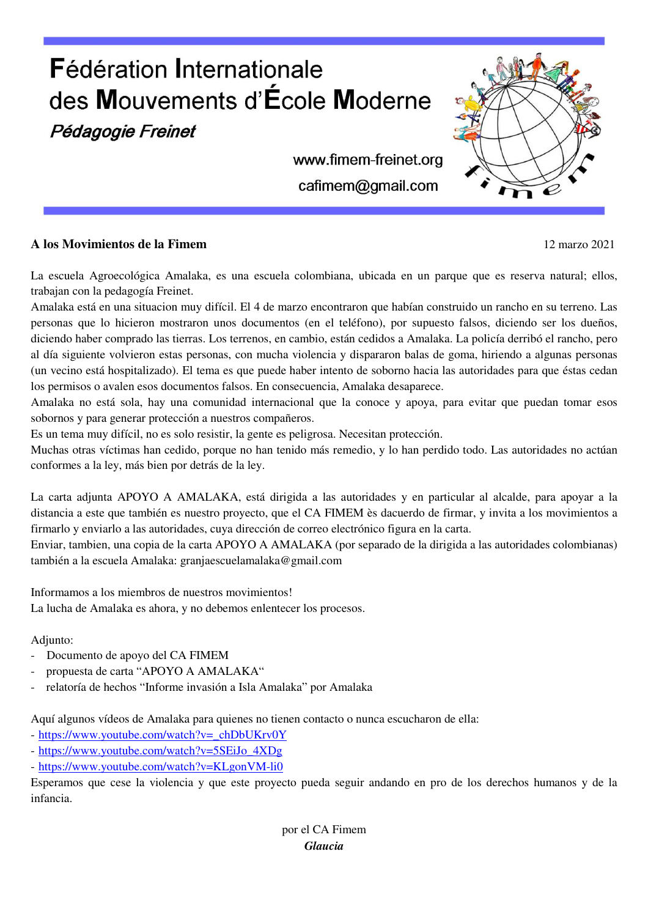

### **A los Movimientos de la Fimem** 12 marzo 2021

La escuela Agroecológica Amalaka, es una escuela colombiana, ubicada en un parque que es reserva natural; ellos, trabajan con la pedagogía Freinet.

Amalaka está en una situacion muy difícil. El 4 de marzo encontraron que habían construido un rancho en su terreno. Las personas que lo hicieron mostraron unos documentos (en el teléfono), por supuesto falsos, diciendo ser los dueños, diciendo haber comprado las tierras. Los terrenos, en cambio, están cedidos a Amalaka. La policía derribó el rancho, pero al día siguiente volvieron estas personas, con mucha violencia y dispararon balas de goma, hiriendo a algunas personas (un vecino está hospitalizado). El tema es que puede haber intento de soborno hacia las autoridades para que éstas cedan los permisos o avalen esos documentos falsos. En consecuencia, Amalaka desaparece.

Amalaka no está sola, hay una comunidad internacional que la conoce y apoya, para evitar que puedan tomar esos sobornos y para generar protección a nuestros compañeros.

Es un tema muy difícil, no es solo resistir, la gente es peligrosa. Necesitan protección.

Muchas otras víctimas han cedido, porque no han tenido más remedio, y lo han perdido todo. Las autoridades no actúan conformes a la ley, más bien por detrás de la ley.

La carta adjunta APOYO A AMALAKA, está dirigida a las autoridades y en particular al alcalde, para apoyar a la distancia a este que también es nuestro proyecto, que el CA FIMEM ès dacuerdo de firmar, y invita a los movimientos a firmarlo y enviarlo a las autoridades, cuya dirección de correo electrónico figura en la carta.

Enviar, tambien, una copia de la carta APOYO A AMALAKA (por separado de la dirigida a las autoridades colombianas) también a la escuela Amalaka: granjaescuelamalaka@gmail.com

Informamos a los miembros de nuestros movimientos! La lucha de Amalaka es ahora, y no debemos enlentecer los procesos.

#### Adjunto:

- Documento de apoyo del CA FIMEM
- propuesta de carta "APOYO A AMALAKA"
- relatoría de hechos "Informe invasión a Isla Amalaka" por Amalaka

Aquí algunos vídeos de Amalaka para quienes no tienen contacto o nunca escucharon de ella:

- https://www.youtube.com/watch?v=\_chDbUKrv0Y

- https://www.youtube.com/watch?v=5SEiJo\_4XDg
- https://www.youtube.com/watch?v=KLgonVM-li0

Esperamos que cese la violencia y que este proyecto pueda seguir andando en pro de los derechos humanos y de la infancia.

> por el CA Fimem *Glaucia*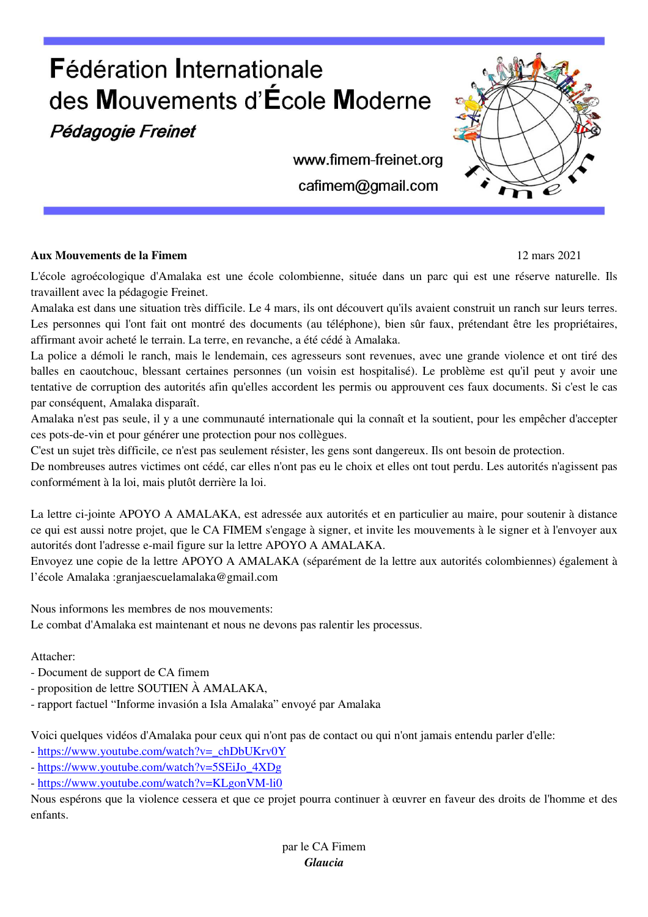# **Fédération Internationale** des Mouvements d'École Moderne

Pédagogie Freinet

www.fimem-freinet.org cafimem@gmail.com

### **Aux Mouvements de la Fimem** 12 mars 2021

L'école agroécologique d'Amalaka est une école colombienne, située dans un parc qui est une réserve naturelle. Ils travaillent avec la pédagogie Freinet.

Amalaka est dans une situation très difficile. Le 4 mars, ils ont découvert qu'ils avaient construit un ranch sur leurs terres. Les personnes qui l'ont fait ont montré des documents (au téléphone), bien sûr faux, prétendant être les propriétaires, affirmant avoir acheté le terrain. La terre, en revanche, a été cédé à Amalaka.

La police a démoli le ranch, mais le lendemain, ces agresseurs sont revenues, avec une grande violence et ont tiré des balles en caoutchouc, blessant certaines personnes (un voisin est hospitalisé). Le problème est qu'il peut y avoir une tentative de corruption des autorités afin qu'elles accordent les permis ou approuvent ces faux documents. Si c'est le cas par conséquent, Amalaka disparaît.

Amalaka n'est pas seule, il y a une communauté internationale qui la connaît et la soutient, pour les empêcher d'accepter ces pots-de-vin et pour générer une protection pour nos collègues.

C'est un sujet très difficile, ce n'est pas seulement résister, les gens sont dangereux. Ils ont besoin de protection.

De nombreuses autres victimes ont cédé, car elles n'ont pas eu le choix et elles ont tout perdu. Les autorités n'agissent pas conformément à la loi, mais plutôt derrière la loi.

La lettre ci-jointe APOYO A AMALAKA, est adressée aux autorités et en particulier au maire, pour soutenir à distance ce qui est aussi notre projet, que le CA FIMEM s'engage à signer, et invite les mouvements à le signer et à l'envoyer aux autorités dont l'adresse e-mail figure sur la lettre APOYO A AMALAKA.

Envoyez une copie de la lettre APOYO A AMALAKA (séparément de la lettre aux autorités colombiennes) également à l'école Amalaka :granjaescuelamalaka@gmail.com

Nous informons les membres de nos mouvements: Le combat d'Amalaka est maintenant et nous ne devons pas ralentir les processus.

## Attacher:

- Document de support de CA fimem
- proposition de lettre SOUTIEN À AMALAKA,
- rapport factuel "Informe invasión a Isla Amalaka" envoyé par Amalaka

Voici quelques vidéos d'Amalaka pour ceux qui n'ont pas de contact ou qui n'ont jamais entendu parler d'elle:

- https://www.youtube.com/watch?v=\_chDbUKrv0Y
- https://www.youtube.com/watch?v=5SEiJo\_4XDg
- https://www.youtube.com/watch?v=KLgonVM-li0

Nous espérons que la violence cessera et que ce projet pourra continuer à œuvrer en faveur des droits de l'homme et des enfants.

> par le CA Fimem *Glaucia*